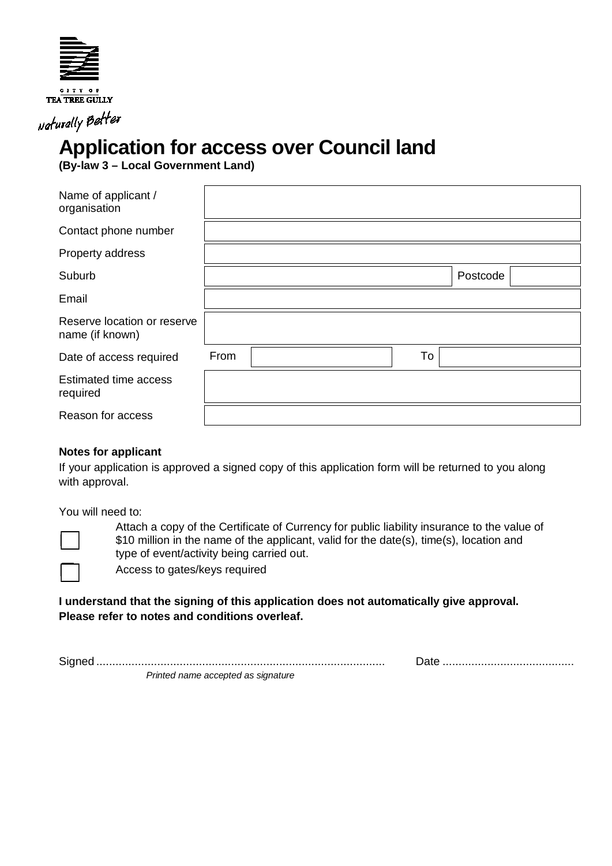

Naturally Better

## **Application for access over Council land**

**(By-law 3 – Local Government Land)**

| Name of applicant /<br>organisation            |      |  |    |          |  |
|------------------------------------------------|------|--|----|----------|--|
| Contact phone number                           |      |  |    |          |  |
| Property address                               |      |  |    |          |  |
| Suburb                                         |      |  |    | Postcode |  |
| Email                                          |      |  |    |          |  |
| Reserve location or reserve<br>name (if known) |      |  |    |          |  |
| Date of access required                        | From |  | To |          |  |
| <b>Estimated time access</b><br>required       |      |  |    |          |  |
| Reason for access                              |      |  |    |          |  |

## **Notes for applicant**

If your application is approved a signed copy of this application form will be returned to you along with approval.

You will need to:



Attach a copy of the Certificate of Currency for public liability insurance to the value of \$10 million in the name of the applicant, valid for the date(s), time(s), location and type of event/activity being carried out.

Access to gates/keys required

## **I understand that the signing of this application does not automatically give approval. Please refer to notes and conditions overleaf.**

Signed .......................................................................................... Date .........................................

*Printed name accepted as signature*